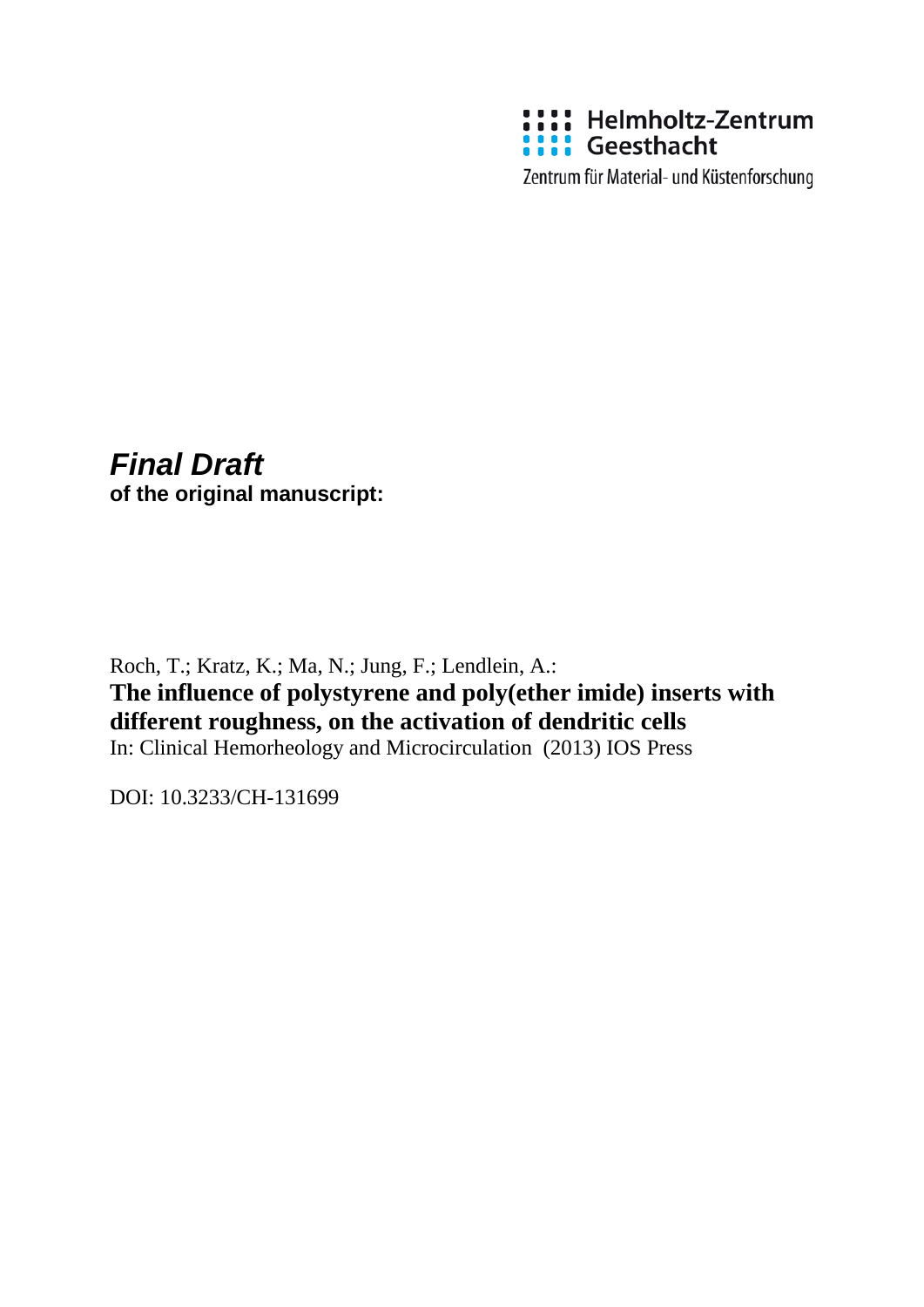

Zentrum für Material- und Küstenforschung

# *Final Draft*

**of the original manuscript:**

Roch, T.; Kratz, K.; Ma, N.; Jung, F.; Lendlein, A.: **The influence of polystyrene and poly(ether imide) inserts with different roughness, on the activation of dendritic cells** In: Clinical Hemorheology and Microcirculation (2013) IOS Press

DOI: 10.3233/CH-131699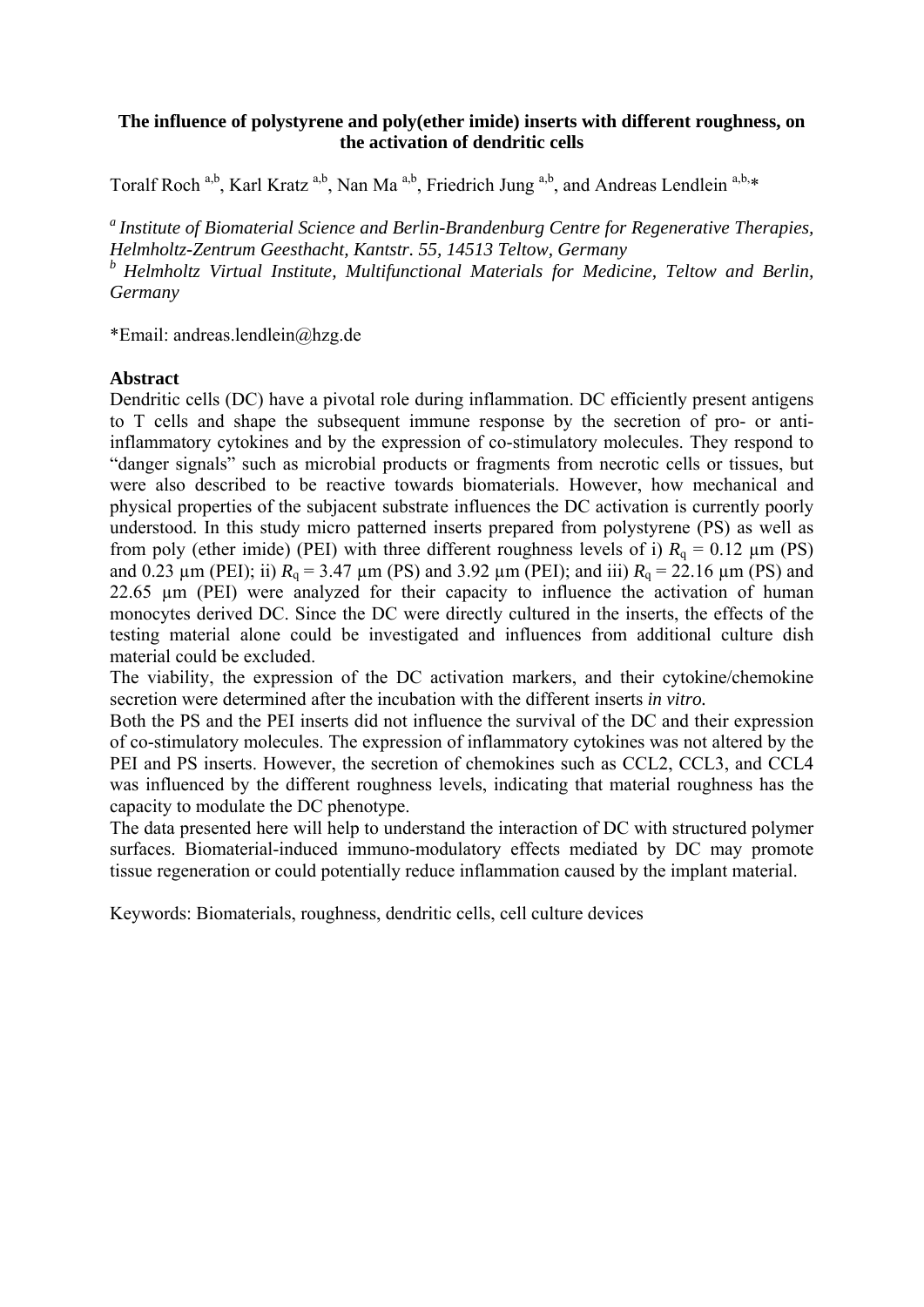## **The influence of polystyrene and poly(ether imide) inserts with different roughness, on the activation of dendritic cells**

Toralf Roch <sup>a,b</sup>, Karl Kratz <sup>a,b</sup>, Nan Ma<sup>a,b</sup>, Friedrich Jung <sup>a,b</sup>, and Andreas Lendlein <sup>a,b,\*</sup>

*a Institute of Biomaterial Science and Berlin-Brandenburg Centre for Regenerative Therapies, Helmholtz-Zentrum Geesthacht, Kantstr. 55, 14513 Teltow, Germany b Helmholtz Virtual Institute, Multifunctional Materials for Medicine, Teltow and Berlin, Germany* 

\*Email: andreas.lendlein@hzg.de

## **Abstract**

Dendritic cells (DC) have a pivotal role during inflammation. DC efficiently present antigens to T cells and shape the subsequent immune response by the secretion of pro- or antiinflammatory cytokines and by the expression of co-stimulatory molecules. They respond to "danger signals" such as microbial products or fragments from necrotic cells or tissues, but were also described to be reactive towards biomaterials. However, how mechanical and physical properties of the subjacent substrate influences the DC activation is currently poorly understood. In this study micro patterned inserts prepared from polystyrene (PS) as well as from poly (ether imide) (PEI) with three different roughness levels of i)  $R_q = 0.12 \mu m$  (PS) and 0.23  $\mu$ m (PEI); ii)  $R_q = 3.47 \mu$ m (PS) and 3.92  $\mu$ m (PEI); and iii)  $R_q = 22.16 \mu$ m (PS) and 22.65 µm (PEI) were analyzed for their capacity to influence the activation of human monocytes derived DC. Since the DC were directly cultured in the inserts, the effects of the testing material alone could be investigated and influences from additional culture dish material could be excluded.

The viability, the expression of the DC activation markers, and their cytokine/chemokine secretion were determined after the incubation with the different inserts *in vitro.*

Both the PS and the PEI inserts did not influence the survival of the DC and their expression of co-stimulatory molecules. The expression of inflammatory cytokines was not altered by the PEI and PS inserts. However, the secretion of chemokines such as CCL2, CCL3, and CCL4 was influenced by the different roughness levels, indicating that material roughness has the capacity to modulate the DC phenotype.

The data presented here will help to understand the interaction of DC with structured polymer surfaces. Biomaterial-induced immuno-modulatory effects mediated by DC may promote tissue regeneration or could potentially reduce inflammation caused by the implant material.

Keywords: Biomaterials, roughness, dendritic cells, cell culture devices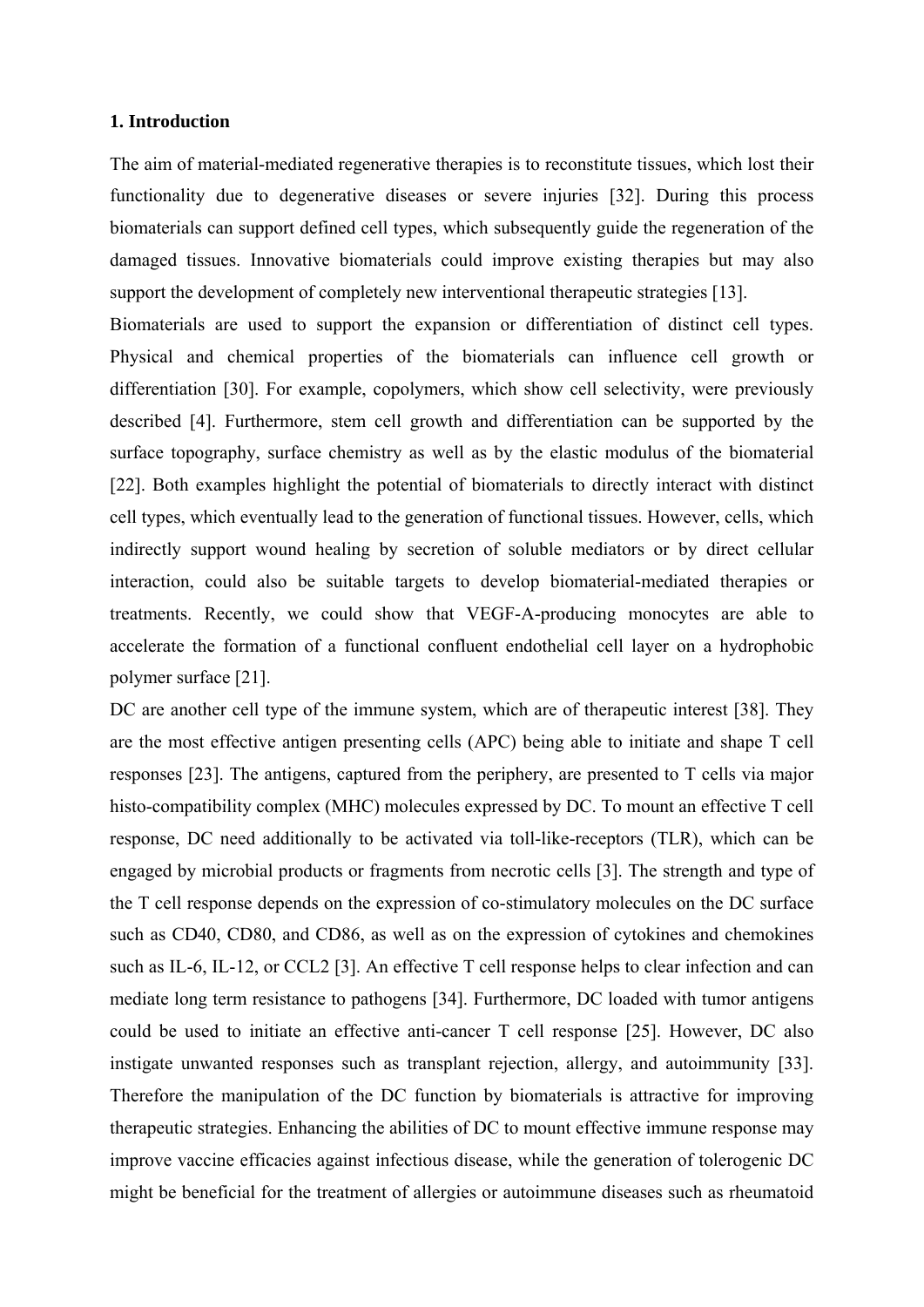#### **1. Introduction**

The aim of material-mediated regenerative therapies is to reconstitute tissues, which lost their functionality due to degenerative diseases or severe injuries [32]. During this process biomaterials can support defined cell types, which subsequently guide the regeneration of the damaged tissues. Innovative biomaterials could improve existing therapies but may also support the development of completely new interventional therapeutic strategies [13].

Biomaterials are used to support the expansion or differentiation of distinct cell types. Physical and chemical properties of the biomaterials can influence cell growth or differentiation [30]. For example, copolymers, which show cell selectivity, were previously described [4]. Furthermore, stem cell growth and differentiation can be supported by the surface topography, surface chemistry as well as by the elastic modulus of the biomaterial [22]. Both examples highlight the potential of biomaterials to directly interact with distinct cell types, which eventually lead to the generation of functional tissues. However, cells, which indirectly support wound healing by secretion of soluble mediators or by direct cellular interaction, could also be suitable targets to develop biomaterial-mediated therapies or treatments. Recently, we could show that VEGF-A-producing monocytes are able to accelerate the formation of a functional confluent endothelial cell layer on a hydrophobic polymer surface [21].

DC are another cell type of the immune system, which are of therapeutic interest [38]. They are the most effective antigen presenting cells (APC) being able to initiate and shape T cell responses [23]. The antigens, captured from the periphery, are presented to T cells via major histo-compatibility complex (MHC) molecules expressed by DC. To mount an effective T cell response, DC need additionally to be activated via toll-like-receptors (TLR), which can be engaged by microbial products or fragments from necrotic cells [3]. The strength and type of the T cell response depends on the expression of co-stimulatory molecules on the DC surface such as CD40, CD80, and CD86, as well as on the expression of cytokines and chemokines such as IL-6, IL-12, or CCL2 [3]. An effective T cell response helps to clear infection and can mediate long term resistance to pathogens [34]. Furthermore, DC loaded with tumor antigens could be used to initiate an effective anti-cancer T cell response [25]. However, DC also instigate unwanted responses such as transplant rejection, allergy, and autoimmunity [33]. Therefore the manipulation of the DC function by biomaterials is attractive for improving therapeutic strategies. Enhancing the abilities of DC to mount effective immune response may improve vaccine efficacies against infectious disease, while the generation of tolerogenic DC might be beneficial for the treatment of allergies or autoimmune diseases such as rheumatoid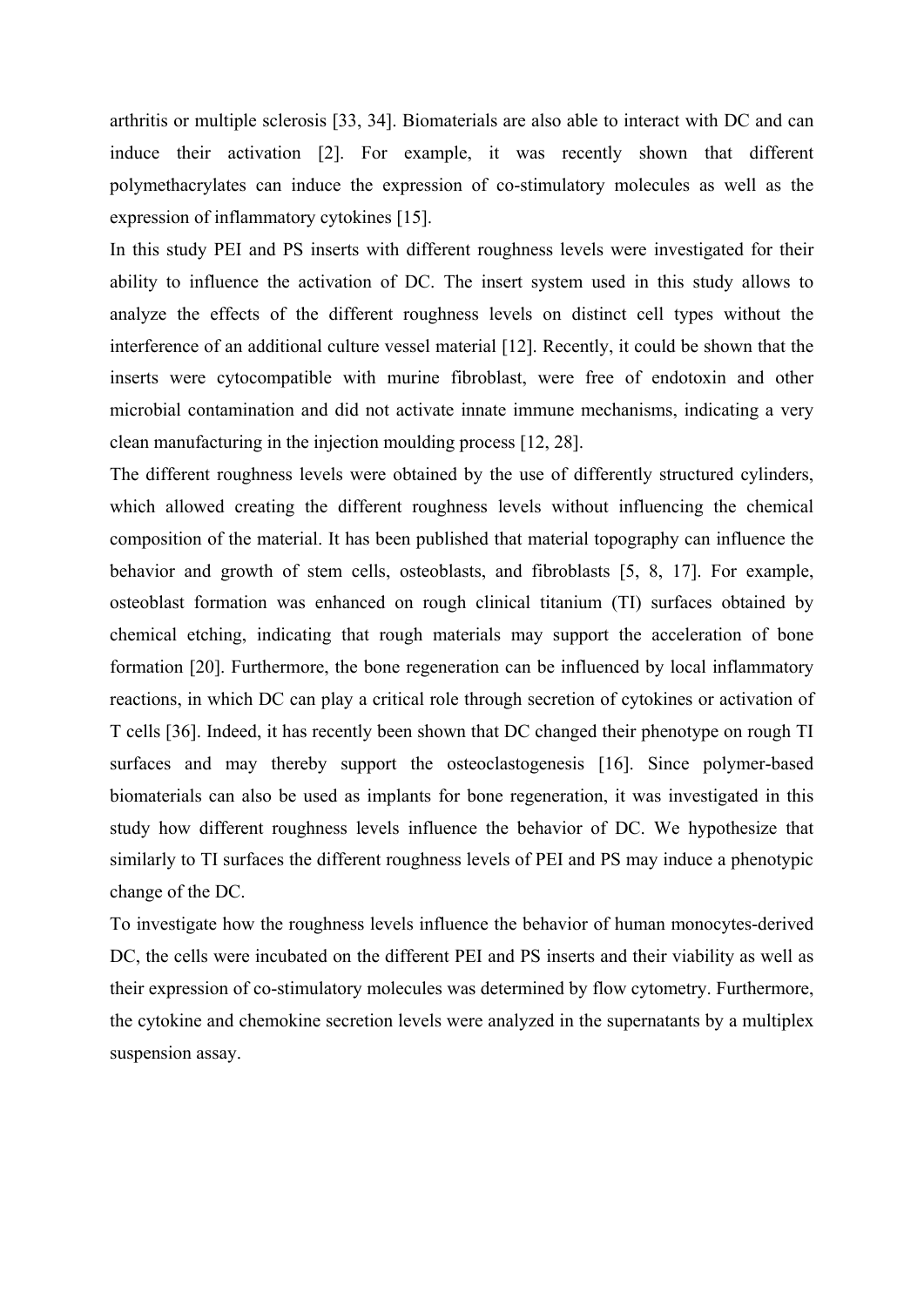arthritis or multiple sclerosis [33, 34]. Biomaterials are also able to interact with DC and can induce their activation [2]. For example, it was recently shown that different polymethacrylates can induce the expression of co-stimulatory molecules as well as the expression of inflammatory cytokines [15].

In this study PEI and PS inserts with different roughness levels were investigated for their ability to influence the activation of DC. The insert system used in this study allows to analyze the effects of the different roughness levels on distinct cell types without the interference of an additional culture vessel material [12]. Recently, it could be shown that the inserts were cytocompatible with murine fibroblast, were free of endotoxin and other microbial contamination and did not activate innate immune mechanisms, indicating a very clean manufacturing in the injection moulding process [12, 28].

The different roughness levels were obtained by the use of differently structured cylinders, which allowed creating the different roughness levels without influencing the chemical composition of the material. It has been published that material topography can influence the behavior and growth of stem cells, osteoblasts, and fibroblasts [5, 8, 17]. For example, osteoblast formation was enhanced on rough clinical titanium (TI) surfaces obtained by chemical etching, indicating that rough materials may support the acceleration of bone formation [20]. Furthermore, the bone regeneration can be influenced by local inflammatory reactions, in which DC can play a critical role through secretion of cytokines or activation of T cells [36]. Indeed, it has recently been shown that DC changed their phenotype on rough TI surfaces and may thereby support the osteoclastogenesis [16]. Since polymer-based biomaterials can also be used as implants for bone regeneration, it was investigated in this study how different roughness levels influence the behavior of DC. We hypothesize that similarly to TI surfaces the different roughness levels of PEI and PS may induce a phenotypic change of the DC.

To investigate how the roughness levels influence the behavior of human monocytes-derived DC, the cells were incubated on the different PEI and PS inserts and their viability as well as their expression of co-stimulatory molecules was determined by flow cytometry. Furthermore, the cytokine and chemokine secretion levels were analyzed in the supernatants by a multiplex suspension assay.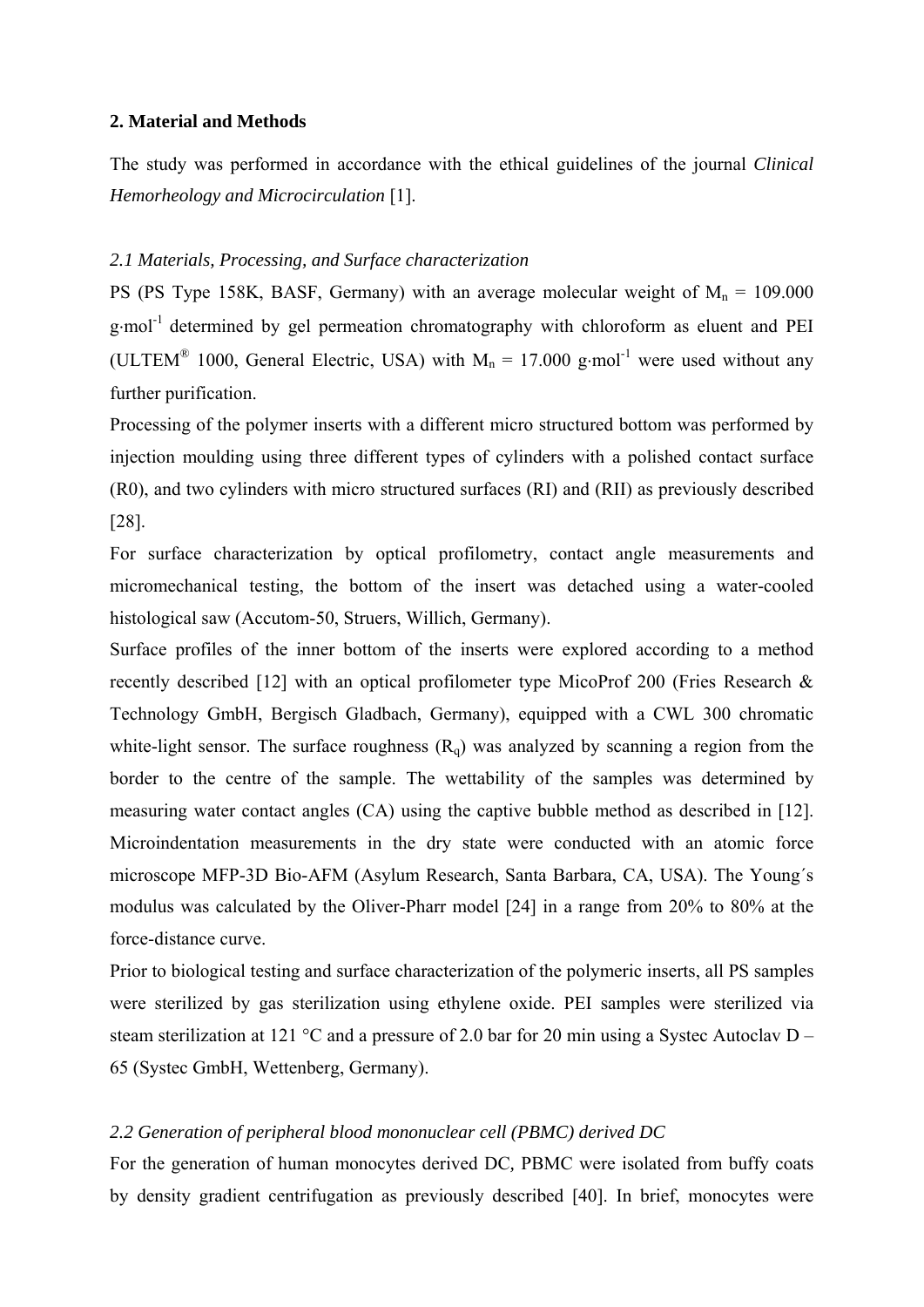#### **2. Material and Methods**

The study was performed in accordance with the ethical guidelines of the journal *Clinical Hemorheology and Microcirculation* [1].

### *2.1 Materials, Processing, and Surface characterization*

PS (PS Type 158K, BASF, Germany) with an average molecular weight of  $M_n = 109.000$ g·mol<sup>-1</sup> determined by gel permeation chromatography with chloroform as eluent and PEI (ULTEM<sup>®</sup> 1000, General Electric, USA) with  $M_n = 17.000$  g·mol<sup>-1</sup> were used without any further purification.

Processing of the polymer inserts with a different micro structured bottom was performed by injection moulding using three different types of cylinders with a polished contact surface (R0), and two cylinders with micro structured surfaces (RI) and (RII) as previously described [28].

For surface characterization by optical profilometry, contact angle measurements and micromechanical testing, the bottom of the insert was detached using a water-cooled histological saw (Accutom-50, Struers, Willich, Germany).

Surface profiles of the inner bottom of the inserts were explored according to a method recently described [12] with an optical profilometer type MicoProf 200 (Fries Research & Technology GmbH, Bergisch Gladbach, Germany), equipped with a CWL 300 chromatic white-light sensor. The surface roughness  $(R_q)$  was analyzed by scanning a region from the border to the centre of the sample. The wettability of the samples was determined by measuring water contact angles (CA) using the captive bubble method as described in [12]. Microindentation measurements in the dry state were conducted with an atomic force microscope MFP-3D Bio-AFM (Asylum Research, Santa Barbara, CA, USA). The Young´s modulus was calculated by the Oliver-Pharr model [24] in a range from 20% to 80% at the force-distance curve.

Prior to biological testing and surface characterization of the polymeric inserts, all PS samples were sterilized by gas sterilization using ethylene oxide. PEI samples were sterilized via steam sterilization at 121 °C and a pressure of 2.0 bar for 20 min using a Systec Autoclav D – 65 (Systec GmbH, Wettenberg, Germany).

## *2.2 Generation of peripheral blood mononuclear cell (PBMC) derived DC*

For the generation of human monocytes derived DC*,* PBMC were isolated from buffy coats by density gradient centrifugation as previously described [40]. In brief, monocytes were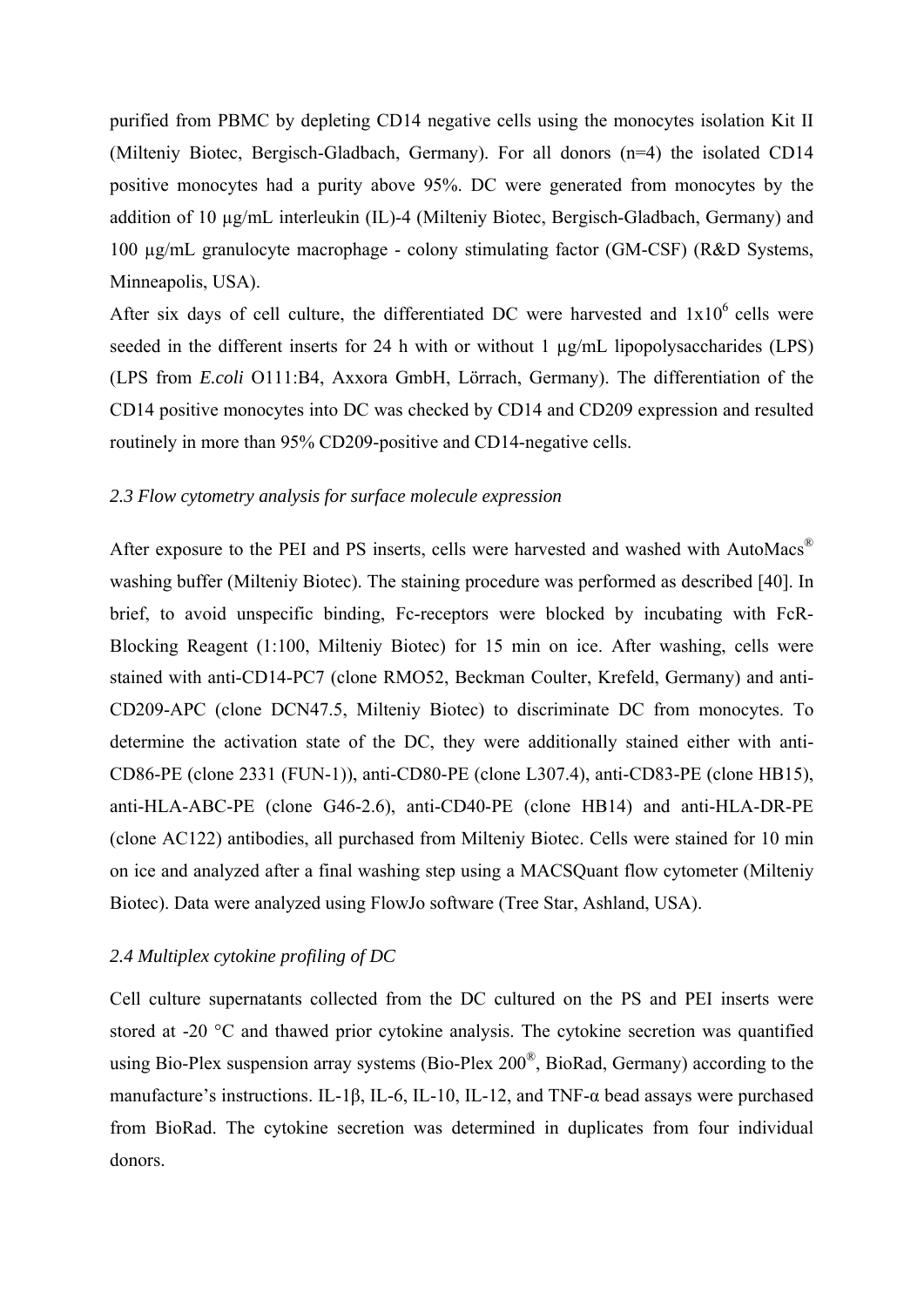purified from PBMC by depleting CD14 negative cells using the monocytes isolation Kit II (Milteniy Biotec, Bergisch-Gladbach, Germany). For all donors (n=4) the isolated CD14 positive monocytes had a purity above 95%. DC were generated from monocytes by the addition of 10 µg/mL interleukin (IL)-4 (Milteniy Biotec, Bergisch-Gladbach, Germany) and 100 µg/mL granulocyte macrophage - colony stimulating factor (GM-CSF) (R&D Systems, Minneapolis, USA).

After six days of cell culture, the differentiated DC were harvested and  $1x10^6$  cells were seeded in the different inserts for 24 h with or without 1  $\mu$ g/mL lipopolysaccharides (LPS) (LPS from *E.coli* O111:B4, Axxora GmbH, Lörrach, Germany). The differentiation of the CD14 positive monocytes into DC was checked by CD14 and CD209 expression and resulted routinely in more than 95% CD209-positive and CD14-negative cells.

## *2.3 Flow cytometry analysis for surface molecule expression*

After exposure to the PEI and PS inserts, cells were harvested and washed with AutoMacs<sup>®</sup> washing buffer (Milteniy Biotec). The staining procedure was performed as described [40]. In brief, to avoid unspecific binding, Fc-receptors were blocked by incubating with FcR-Blocking Reagent (1:100, Milteniy Biotec) for 15 min on ice. After washing, cells were stained with anti-CD14-PC7 (clone RMO52, Beckman Coulter, Krefeld, Germany) and anti-CD209-APC (clone DCN47.5, Milteniy Biotec) to discriminate DC from monocytes. To determine the activation state of the DC, they were additionally stained either with anti-CD86-PE (clone 2331 (FUN-1)), anti-CD80-PE (clone L307.4), anti-CD83-PE (clone HB15), anti-HLA-ABC-PE (clone G46-2.6), anti-CD40-PE (clone HB14) and anti-HLA-DR-PE (clone AC122) antibodies, all purchased from Milteniy Biotec. Cells were stained for 10 min on ice and analyzed after a final washing step using a MACSQuant flow cytometer (Milteniy Biotec). Data were analyzed using FlowJo software (Tree Star, Ashland, USA).

#### *2.4 Multiplex cytokine profiling of DC*

Cell culture supernatants collected from the DC cultured on the PS and PEI inserts were stored at -20 °C and thawed prior cytokine analysis. The cytokine secretion was quantified using Bio-Plex suspension array systems (Bio-Plex 200®, BioRad, Germany) according to the manufacture's instructions. IL-1β, IL-6, IL-10, IL-12, and TNF-α bead assays were purchased from BioRad. The cytokine secretion was determined in duplicates from four individual donors.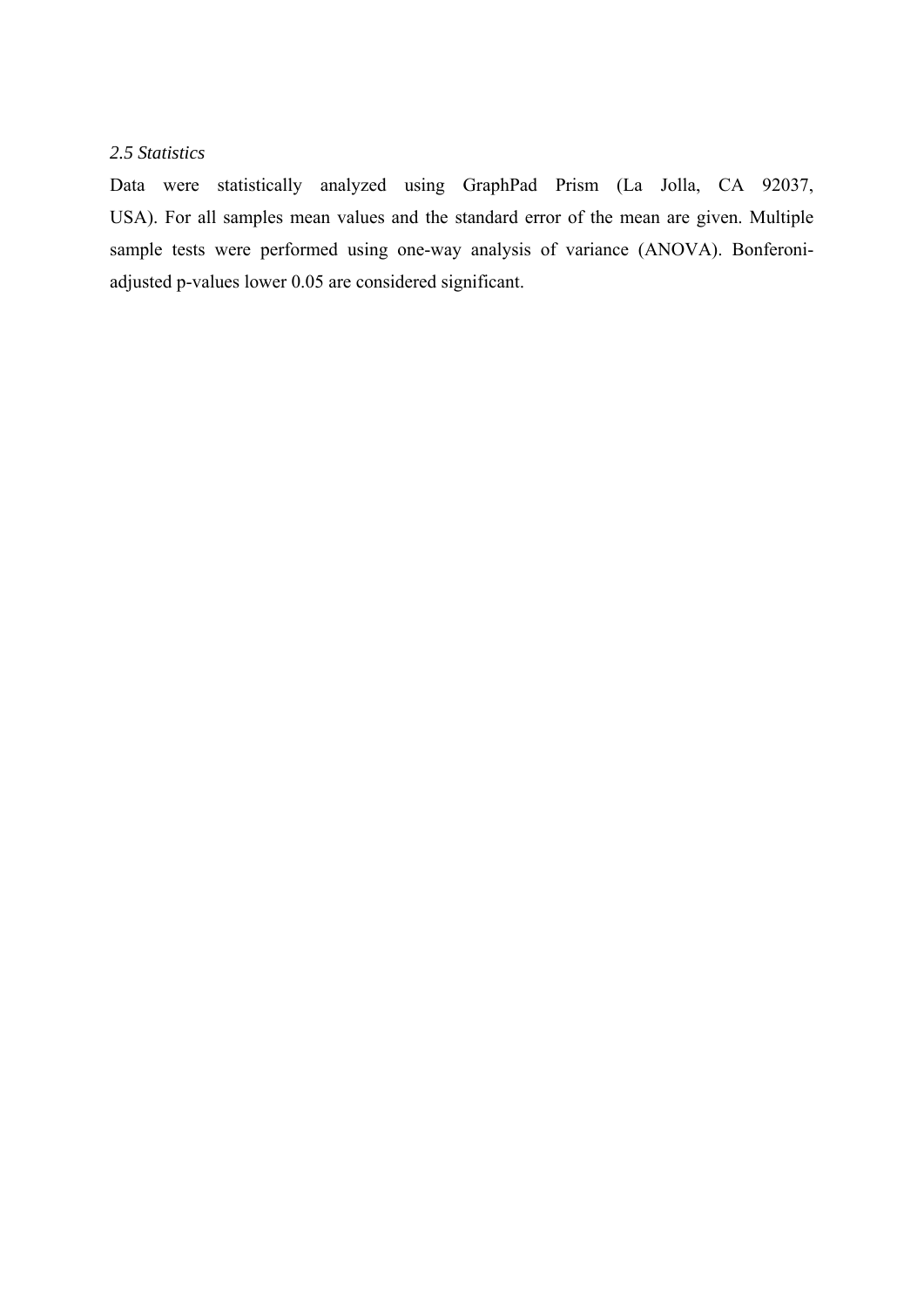## *2.5 Statistics*

Data were statistically analyzed using GraphPad Prism (La Jolla, CA 92037, USA). For all samples mean values and the standard error of the mean are given. Multiple sample tests were performed using one-way analysis of variance (ANOVA). Bonferoniadjusted p-values lower 0.05 are considered significant.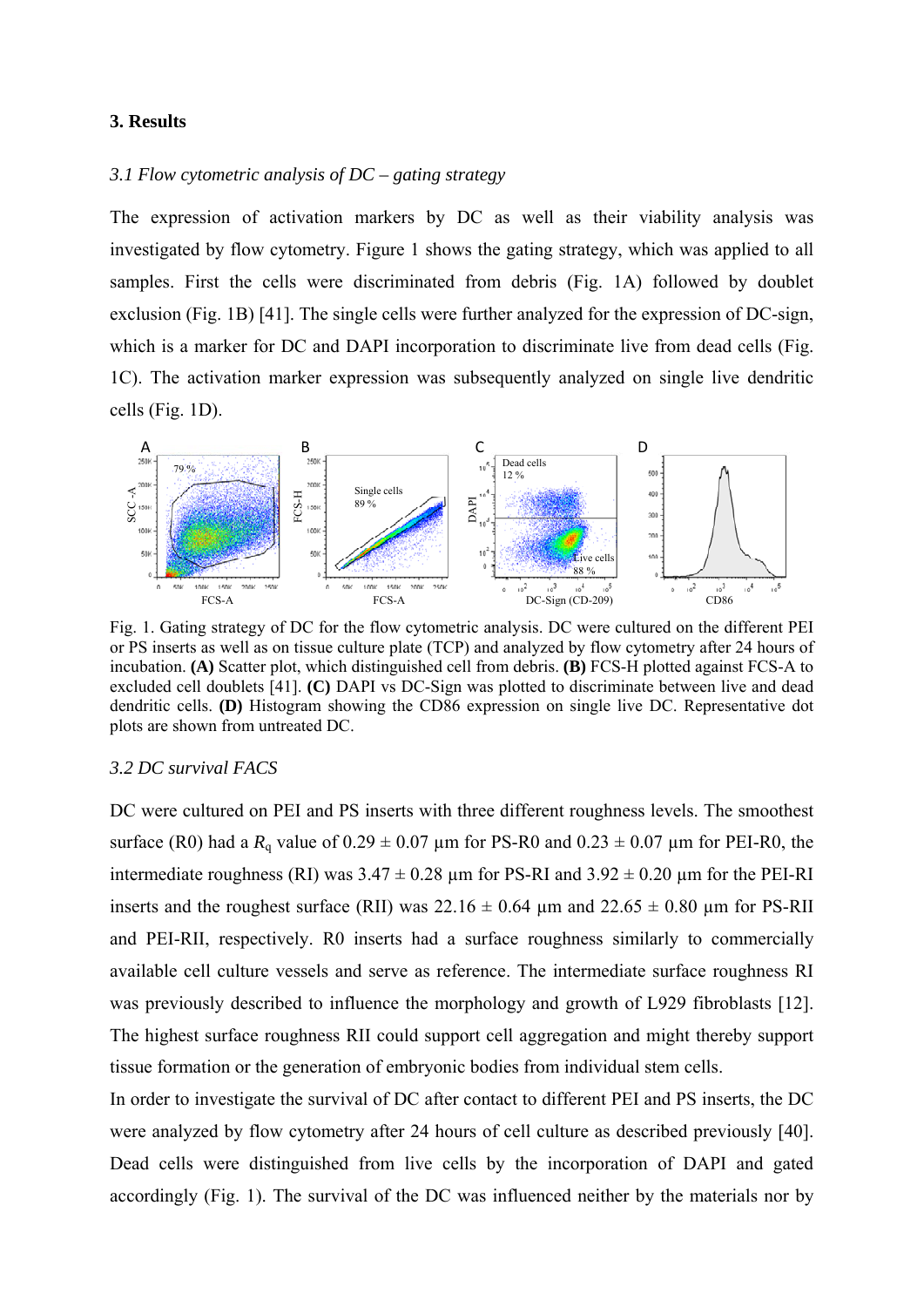#### **3. Results**

#### *3.1 Flow cytometric analysis of DC – gating strategy*

The expression of activation markers by DC as well as their viability analysis was investigated by flow cytometry. Figure 1 shows the gating strategy, which was applied to all samples. First the cells were discriminated from debris (Fig. 1A) followed by doublet exclusion (Fig. 1B) [41]. The single cells were further analyzed for the expression of DC-sign, which is a marker for DC and DAPI incorporation to discriminate live from dead cells (Fig. 1C). The activation marker expression was subsequently analyzed on single live dendritic cells (Fig. 1D).



Fig. 1. Gating strategy of DC for the flow cytometric analysis. DC were cultured on the different PEI or PS inserts as well as on tissue culture plate (TCP) and analyzed by flow cytometry after 24 hours of incubation. **(A)** Scatter plot, which distinguished cell from debris. **(B)** FCS-H plotted against FCS-A to excluded cell doublets [41]. **(C)** DAPI vs DC-Sign was plotted to discriminate between live and dead dendritic cells. **(D)** Histogram showing the CD86 expression on single live DC. Representative dot plots are shown from untreated DC.

#### *3.2 DC survival FACS*

DC were cultured on PEI and PS inserts with three different roughness levels. The smoothest surface (R0) had a  $R_a$  value of  $0.29 \pm 0.07$  µm for PS-R0 and  $0.23 \pm 0.07$  µm for PEI-R0, the intermediate roughness (RI) was  $3.47 \pm 0.28$  µm for PS-RI and  $3.92 \pm 0.20$  µm for the PEI-RI inserts and the roughest surface (RII) was  $22.16 \pm 0.64$  µm and  $22.65 \pm 0.80$  µm for PS-RII and PEI-RII, respectively. R0 inserts had a surface roughness similarly to commercially available cell culture vessels and serve as reference. The intermediate surface roughness RI was previously described to influence the morphology and growth of L929 fibroblasts [12]. The highest surface roughness RII could support cell aggregation and might thereby support tissue formation or the generation of embryonic bodies from individual stem cells.

In order to investigate the survival of DC after contact to different PEI and PS inserts, the DC were analyzed by flow cytometry after 24 hours of cell culture as described previously [40]. Dead cells were distinguished from live cells by the incorporation of DAPI and gated accordingly (Fig. 1). The survival of the DC was influenced neither by the materials nor by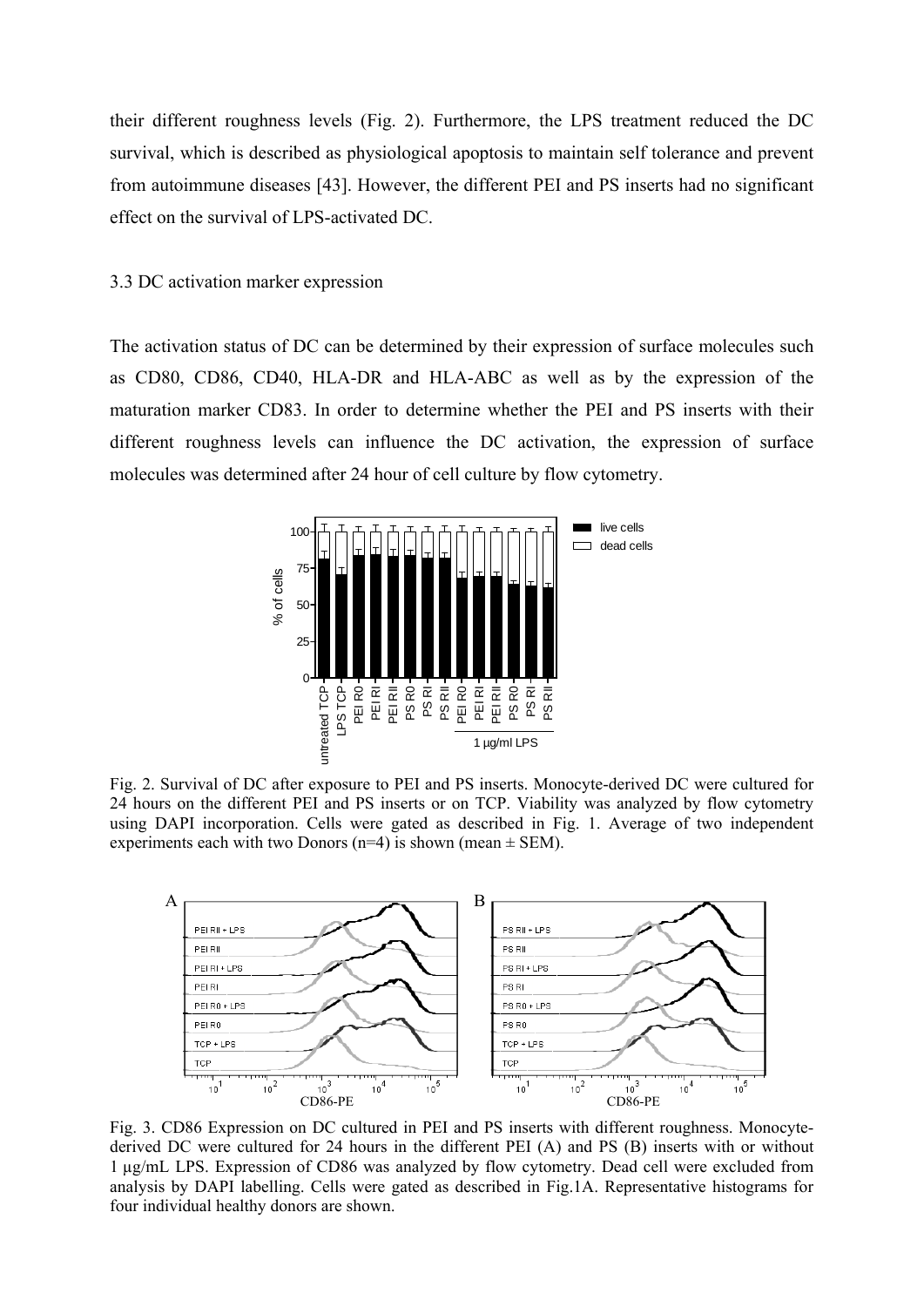their different roughness levels (Fig. 2). Furthermore, the LPS treatment reduced the DC survival, which is described as physiological apoptosis to maintain self tolerance and prevent from autoimmune diseases [43]. However, the different PEI and PS inserts had no significant effect on the survival of LPS-activated DC.

#### 3.3 DC activation marker expression

The activation status of DC can be determined by their expression of surface molecules such as CD80, CD86, CD40, HLA-DR and HLA-ABC as well as by the expression of the maturation marker CD83. In order to determine whether the PEI and PS inserts with their different roughness levels can influence the DC activation, the expression of surface molecules was determined after 24 hour of cell culture by flow cytometry.



Fig. 2. Survival of DC after exposure to PEI and PS inserts. Monocyte-derived DC were cultured for 24 hours on the different PEI and PS inserts or on TCP. Viability was analyzed by flow cytometry using DAPI incorporation. Cells were gated as described in Fig. 1. Average of two independent experiments each with two Donors ( $n=4$ ) is shown (mean  $\pm$  SEM).



Fig. 3. CD86 Expression on DC cultured in PEI and PS inserts with different roughness. Monocytederived DC were cultured for 24 hours in the different PEI (A) and PS (B) inserts with or without 1 µg/mL LPS. Expression of CD86 was analyzed by flow cytometry. Dead cell were excluded from analysis by DAPI labelling. Cells were gated as described in Fig.1A. Representative histograms for four individual healthy donors are shown.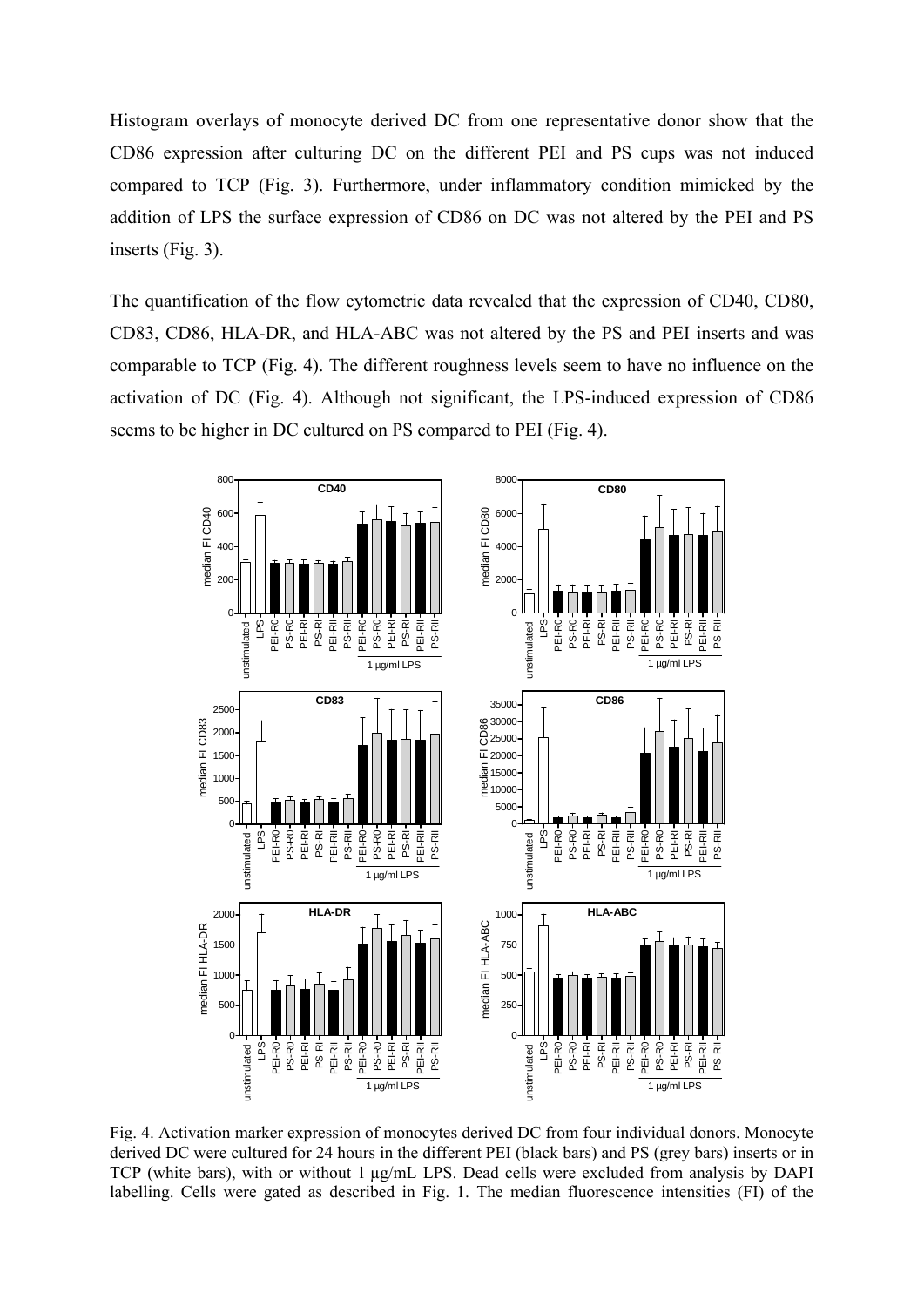Histogram overlays of monocyte derived DC from one representative donor show that the CD86 expression after culturing DC on the different PEI and PS cups was not induced compared to TCP (Fig. 3). Furthermore, under inflammatory condition mimicked by the addition of LPS the surface expression of CD86 on DC was not altered by the PEI and PS inserts (Fig. 3).

The quantification of the flow cytometric data revealed that the expression of CD40, CD80, CD83, CD86, HLA-DR, and HLA-ABC was not altered by the PS and PEI inserts and was comparable to TCP (Fig. 4). The different roughness levels seem to have no influence on the activation of DC (Fig. 4). Although not significant, the LPS-induced expression of CD86 seems to be higher in DC cultured on PS compared to PEI (Fig. 4).



Fig. 4. Activation marker expression of monocytes derived DC from four individual donors. Monocyte derived DC were cultured for 24 hours in the different PEI (black bars) and PS (grey bars) inserts or in TCP (white bars), with or without 1 µg/mL LPS. Dead cells were excluded from analysis by DAPI labelling. Cells were gated as described in Fig. 1. The median fluorescence intensities (FI) of the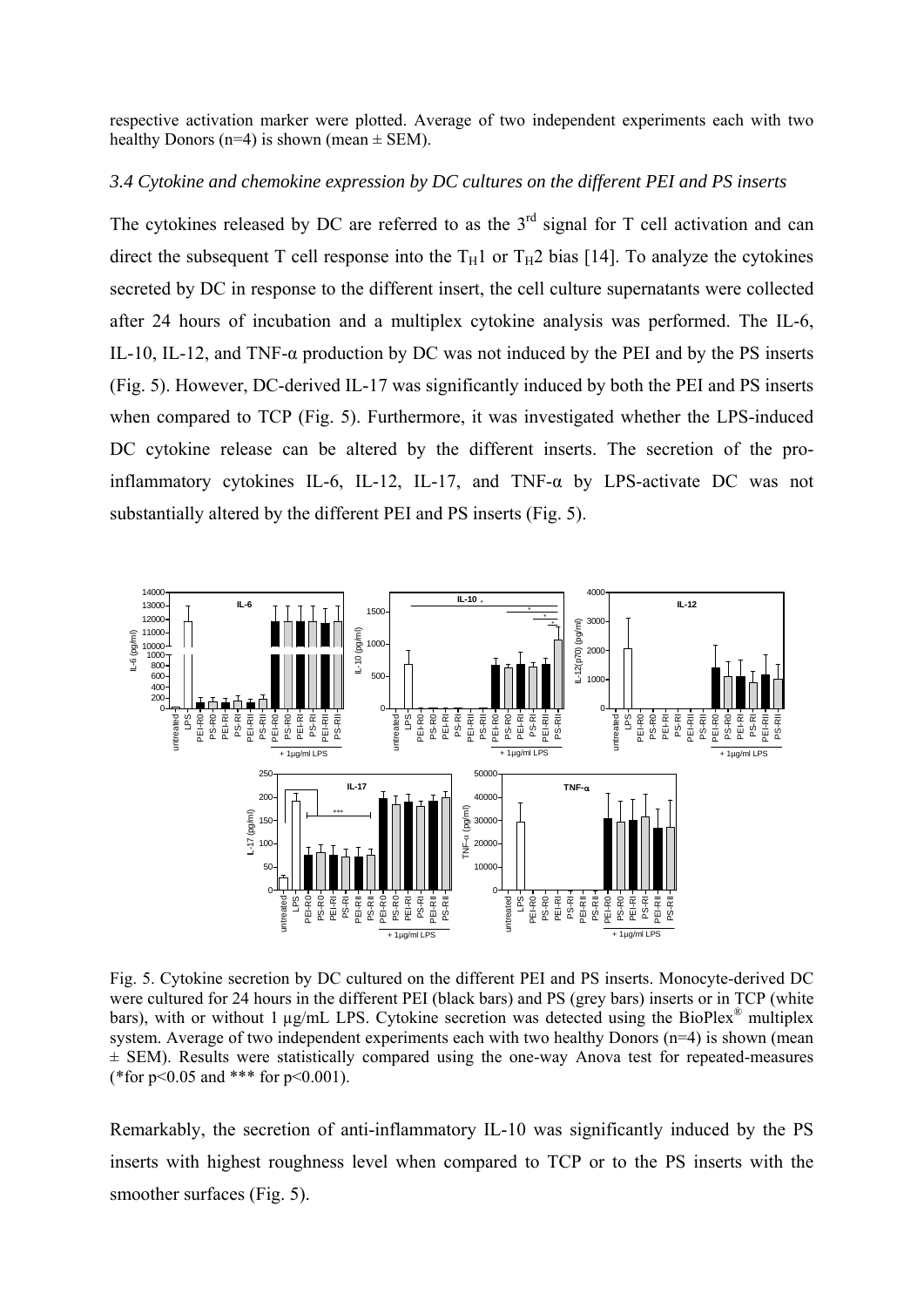respective activation marker were plotted. Average of two independent experiments each with two healthy Donors (n=4) is shown (mean  $\pm$  SEM).

## *3.4 Cytokine and chemokine expression by DC cultures on the different PEI and PS inserts*

The cytokines released by DC are referred to as the  $3<sup>rd</sup>$  signal for T cell activation and can direct the subsequent T cell response into the  $T_H1$  or  $T_H2$  bias [14]. To analyze the cytokines secreted by DC in response to the different insert, the cell culture supernatants were collected after 24 hours of incubation and a multiplex cytokine analysis was performed. The IL-6, IL-10, IL-12, and TNF- $\alpha$  production by DC was not induced by the PEI and by the PS inserts (Fig. 5). However, DC-derived IL-17 was significantly induced by both the PEI and PS inserts when compared to TCP (Fig. 5). Furthermore, it was investigated whether the LPS-induced DC cytokine release can be altered by the different inserts. The secretion of the proinflammatory cytokines IL-6, IL-12, IL-17, and TNF-α by LPS-activate DC was not substantially altered by the different PEI and PS inserts (Fig. 5).



Fig. 5. Cytokine secretion by DC cultured on the different PEI and PS inserts. Monocyte-derived DC were cultured for 24 hours in the different PEI (black bars) and PS (grey bars) inserts or in TCP (white bars), with or without 1 µg/mL LPS. Cytokine secretion was detected using the BioPlex<sup>®</sup> multiplex system. Average of two independent experiments each with two healthy Donors (n=4) is shown (mean  $\pm$  SEM). Results were statistically compared using the one-way Anova test for repeated-measures (\*for p<0.05 and \*\*\* for p<0.001).

Remarkably, the secretion of anti-inflammatory IL-10 was significantly induced by the PS inserts with highest roughness level when compared to TCP or to the PS inserts with the smoother surfaces (Fig. 5).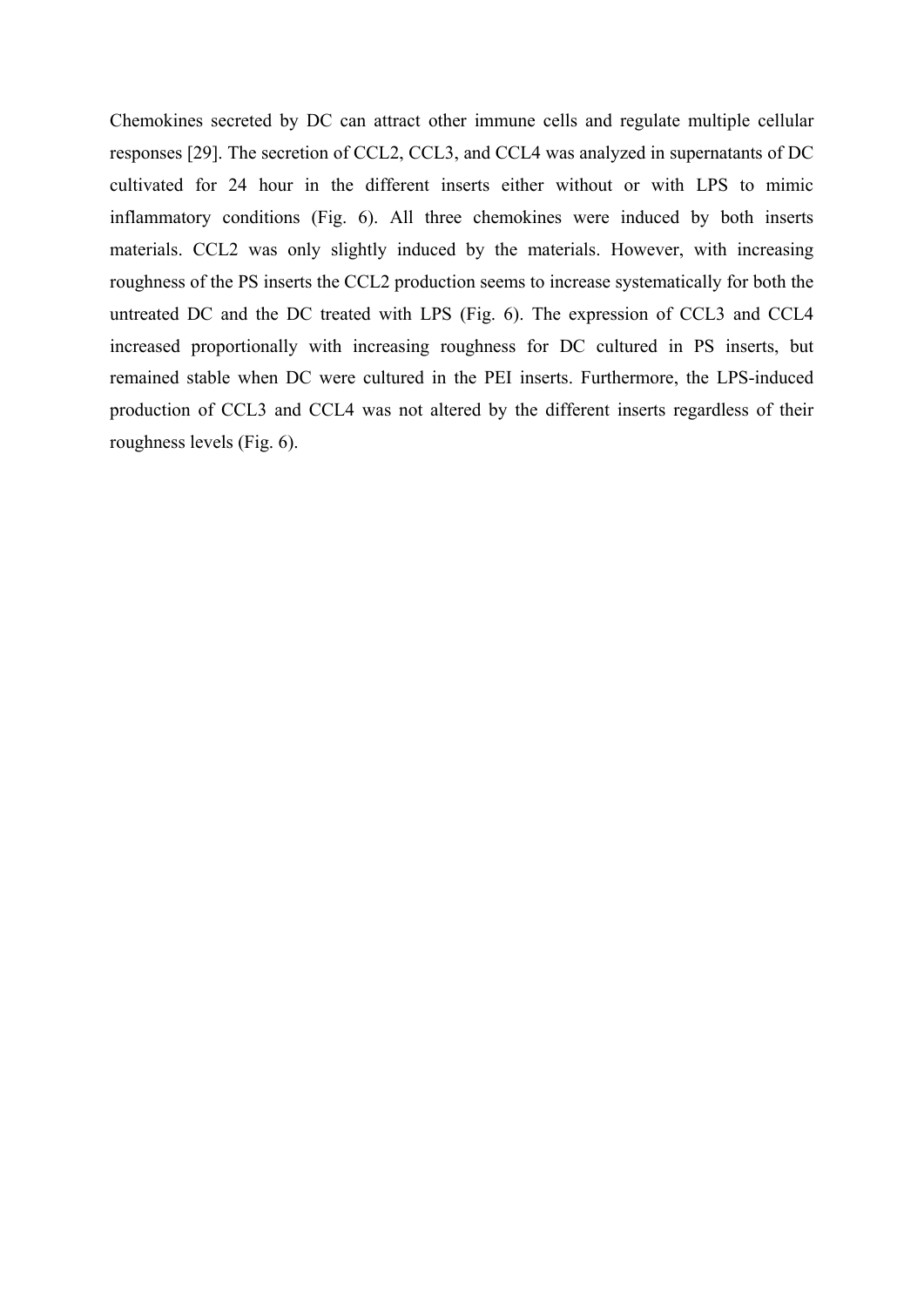Chemokines secreted by DC can attract other immune cells and regulate multiple cellular responses [29]. The secretion of CCL2, CCL3, and CCL4 was analyzed in supernatants of DC cultivated for 24 hour in the different inserts either without or with LPS to mimic inflammatory conditions (Fig. 6). All three chemokines were induced by both inserts materials. CCL2 was only slightly induced by the materials. However, with increasing roughness of the PS inserts the CCL2 production seems to increase systematically for both the untreated DC and the DC treated with LPS (Fig. 6). The expression of CCL3 and CCL4 increased proportionally with increasing roughness for DC cultured in PS inserts, but remained stable when DC were cultured in the PEI inserts. Furthermore, the LPS-induced production of CCL3 and CCL4 was not altered by the different inserts regardless of their roughness levels (Fig. 6).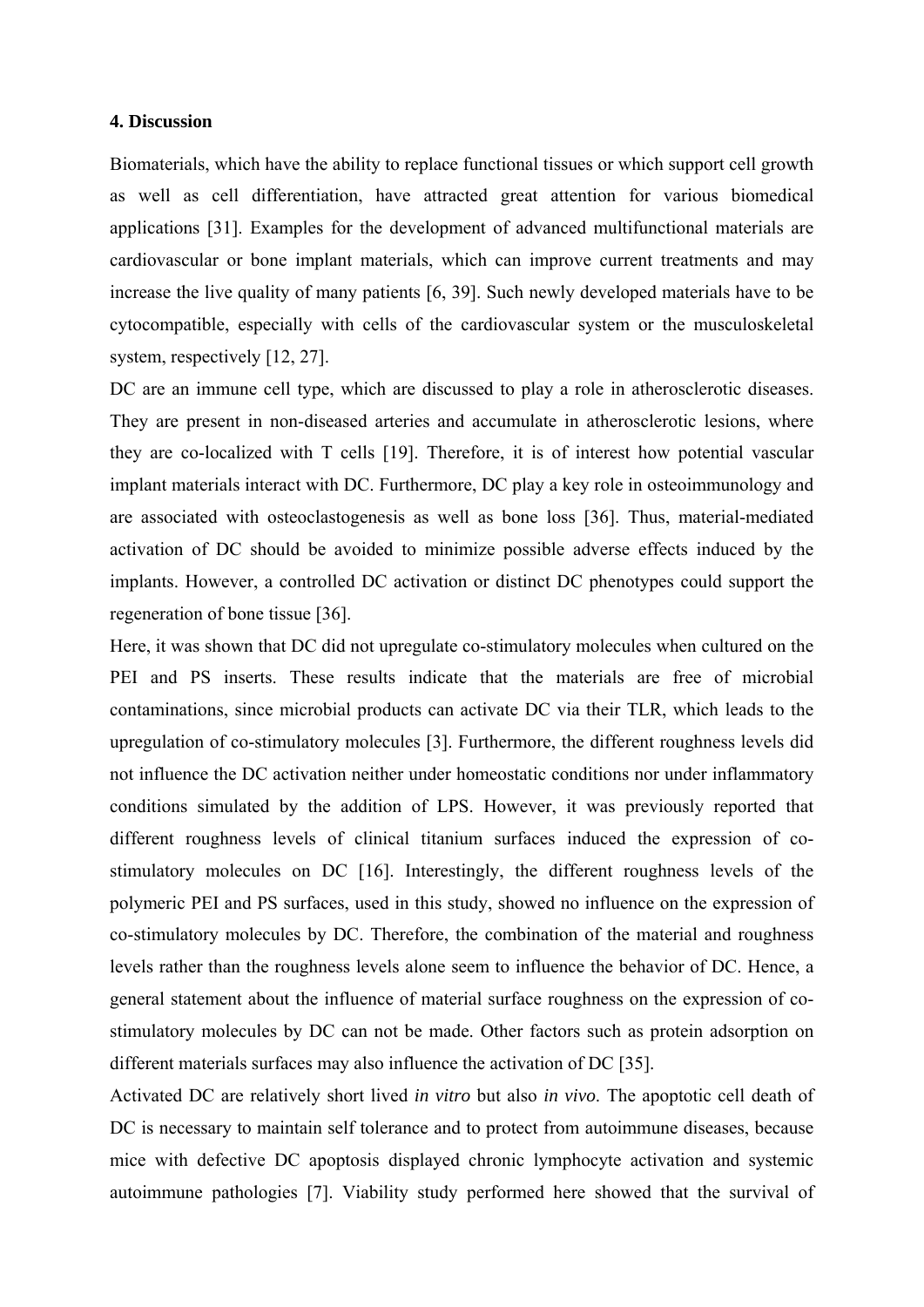## **4. Discussion**

Biomaterials, which have the ability to replace functional tissues or which support cell growth as well as cell differentiation, have attracted great attention for various biomedical applications [31]. Examples for the development of advanced multifunctional materials are cardiovascular or bone implant materials, which can improve current treatments and may increase the live quality of many patients [6, 39]. Such newly developed materials have to be cytocompatible, especially with cells of the cardiovascular system or the musculoskeletal system, respectively [12, 27].

DC are an immune cell type, which are discussed to play a role in atherosclerotic diseases. They are present in non-diseased arteries and accumulate in atherosclerotic lesions, where they are co-localized with T cells [19]. Therefore, it is of interest how potential vascular implant materials interact with DC. Furthermore, DC play a key role in osteoimmunology and are associated with osteoclastogenesis as well as bone loss [36]. Thus, material-mediated activation of DC should be avoided to minimize possible adverse effects induced by the implants. However, a controlled DC activation or distinct DC phenotypes could support the regeneration of bone tissue [36].

Here, it was shown that DC did not upregulate co-stimulatory molecules when cultured on the PEI and PS inserts. These results indicate that the materials are free of microbial contaminations, since microbial products can activate DC via their TLR, which leads to the upregulation of co-stimulatory molecules [3]. Furthermore, the different roughness levels did not influence the DC activation neither under homeostatic conditions nor under inflammatory conditions simulated by the addition of LPS. However, it was previously reported that different roughness levels of clinical titanium surfaces induced the expression of costimulatory molecules on DC [16]. Interestingly, the different roughness levels of the polymeric PEI and PS surfaces, used in this study, showed no influence on the expression of co-stimulatory molecules by DC. Therefore, the combination of the material and roughness levels rather than the roughness levels alone seem to influence the behavior of DC. Hence, a general statement about the influence of material surface roughness on the expression of costimulatory molecules by DC can not be made. Other factors such as protein adsorption on different materials surfaces may also influence the activation of DC [35].

Activated DC are relatively short lived *in vitro* but also *in vivo*. The apoptotic cell death of DC is necessary to maintain self tolerance and to protect from autoimmune diseases, because mice with defective DC apoptosis displayed chronic lymphocyte activation and systemic autoimmune pathologies [7]. Viability study performed here showed that the survival of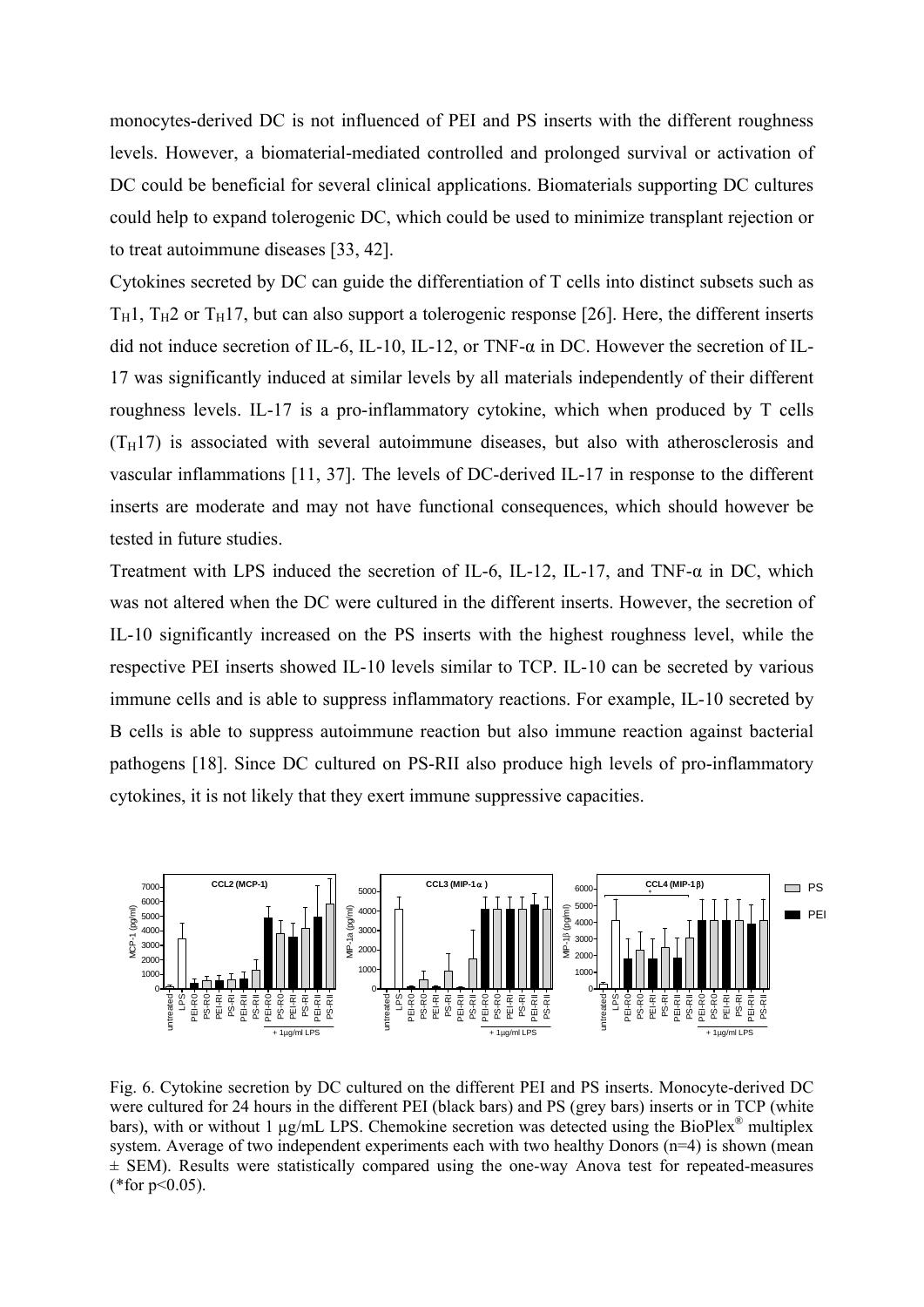monocytes-derived DC is not influenced of PEI and PS inserts with the different roughness levels. However, a biomaterial-mediated controlled and prolonged survival or activation of DC could be beneficial for several clinical applications. Biomaterials supporting DC cultures could help to expand tolerogenic DC, which could be used to minimize transplant rejection or to treat autoimmune diseases [33, 42].

Cytokines secreted by DC can guide the differentiation of T cells into distinct subsets such as  $T_H$ 1,  $T_H$ 2 or  $T_H$ 17, but can also support a tolerogenic response [26]. Here, the different inserts did not induce secretion of IL-6, IL-10, IL-12, or TNF-α in DC. However the secretion of IL-17 was significantly induced at similar levels by all materials independently of their different roughness levels. IL-17 is a pro-inflammatory cytokine, which when produced by T cells  $(T_H17)$  is associated with several autoimmune diseases, but also with atherosclerosis and vascular inflammations [11, 37]. The levels of DC-derived IL-17 in response to the different inserts are moderate and may not have functional consequences, which should however be tested in future studies.

Treatment with LPS induced the secretion of IL-6, IL-12, IL-17, and TNF- $\alpha$  in DC, which was not altered when the DC were cultured in the different inserts. However, the secretion of IL-10 significantly increased on the PS inserts with the highest roughness level, while the respective PEI inserts showed IL-10 levels similar to TCP. IL-10 can be secreted by various immune cells and is able to suppress inflammatory reactions. For example, IL-10 secreted by B cells is able to suppress autoimmune reaction but also immune reaction against bacterial pathogens [18]. Since DC cultured on PS-RII also produce high levels of pro-inflammatory cytokines, it is not likely that they exert immune suppressive capacities.



Fig. 6. Cytokine secretion by DC cultured on the different PEI and PS inserts. Monocyte-derived DC were cultured for 24 hours in the different PEI (black bars) and PS (grey bars) inserts or in TCP (white bars), with or without 1 µg/mL LPS. Chemokine secretion was detected using the BioPlex® multiplex system. Average of two independent experiments each with two healthy Donors (n=4) is shown (mean  $\pm$  SEM). Results were statistically compared using the one-way Anova test for repeated-measures (\*for  $p<0.05$ ).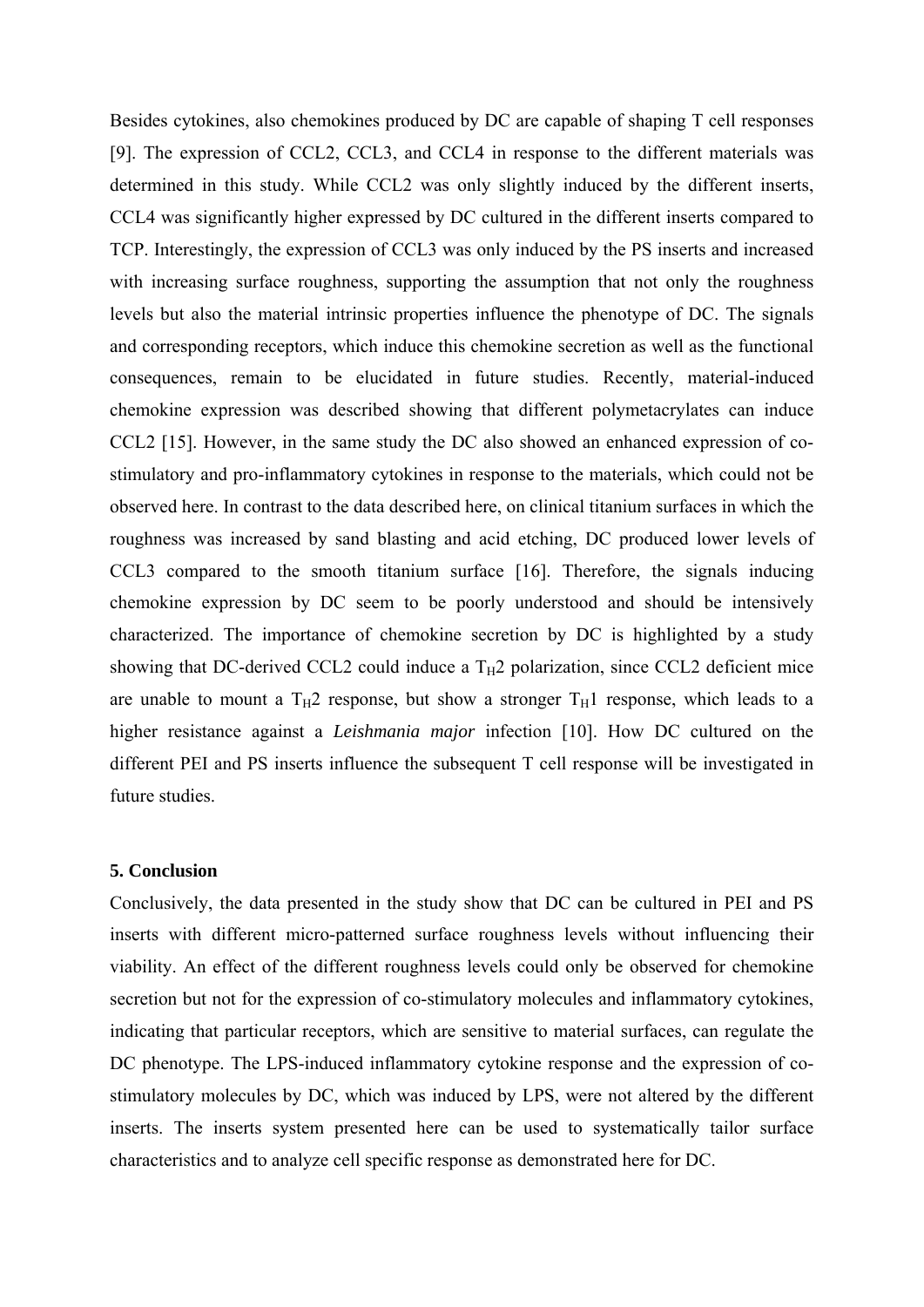Besides cytokines, also chemokines produced by DC are capable of shaping T cell responses [9]. The expression of CCL2, CCL3, and CCL4 in response to the different materials was determined in this study. While CCL2 was only slightly induced by the different inserts, CCL4 was significantly higher expressed by DC cultured in the different inserts compared to TCP. Interestingly, the expression of CCL3 was only induced by the PS inserts and increased with increasing surface roughness, supporting the assumption that not only the roughness levels but also the material intrinsic properties influence the phenotype of DC. The signals and corresponding receptors, which induce this chemokine secretion as well as the functional consequences, remain to be elucidated in future studies. Recently, material-induced chemokine expression was described showing that different polymetacrylates can induce CCL2 [15]. However, in the same study the DC also showed an enhanced expression of costimulatory and pro-inflammatory cytokines in response to the materials, which could not be observed here. In contrast to the data described here, on clinical titanium surfaces in which the roughness was increased by sand blasting and acid etching, DC produced lower levels of CCL3 compared to the smooth titanium surface [16]. Therefore, the signals inducing chemokine expression by DC seem to be poorly understood and should be intensively characterized. The importance of chemokine secretion by DC is highlighted by a study showing that DC-derived CCL2 could induce a  $T_H2$  polarization, since CCL2 deficient mice are unable to mount a  $T_H2$  response, but show a stronger  $T_H1$  response, which leads to a higher resistance against a *Leishmania major* infection [10]. How DC cultured on the different PEI and PS inserts influence the subsequent T cell response will be investigated in future studies.

#### **5. Conclusion**

Conclusively, the data presented in the study show that DC can be cultured in PEI and PS inserts with different micro-patterned surface roughness levels without influencing their viability. An effect of the different roughness levels could only be observed for chemokine secretion but not for the expression of co-stimulatory molecules and inflammatory cytokines, indicating that particular receptors, which are sensitive to material surfaces, can regulate the DC phenotype. The LPS-induced inflammatory cytokine response and the expression of costimulatory molecules by DC, which was induced by LPS, were not altered by the different inserts. The inserts system presented here can be used to systematically tailor surface characteristics and to analyze cell specific response as demonstrated here for DC.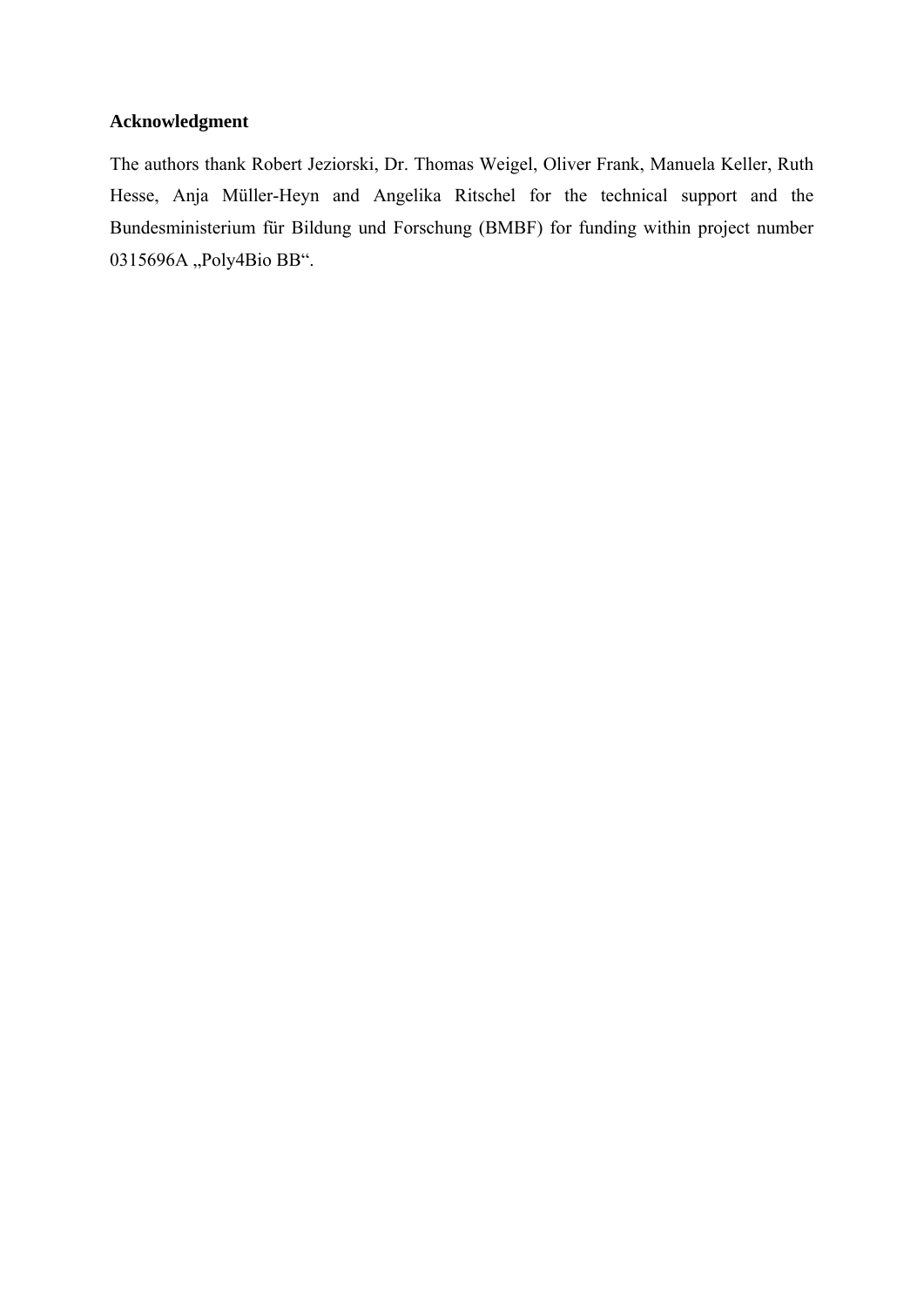## **Acknowledgment**

The authors thank Robert Jeziorski, Dr. Thomas Weigel, Oliver Frank, Manuela Keller, Ruth Hesse, Anja Müller-Heyn and Angelika Ritschel for the technical support and the Bundesministerium für Bildung und Forschung (BMBF) for funding within project number 0315696A "Poly4Bio BB".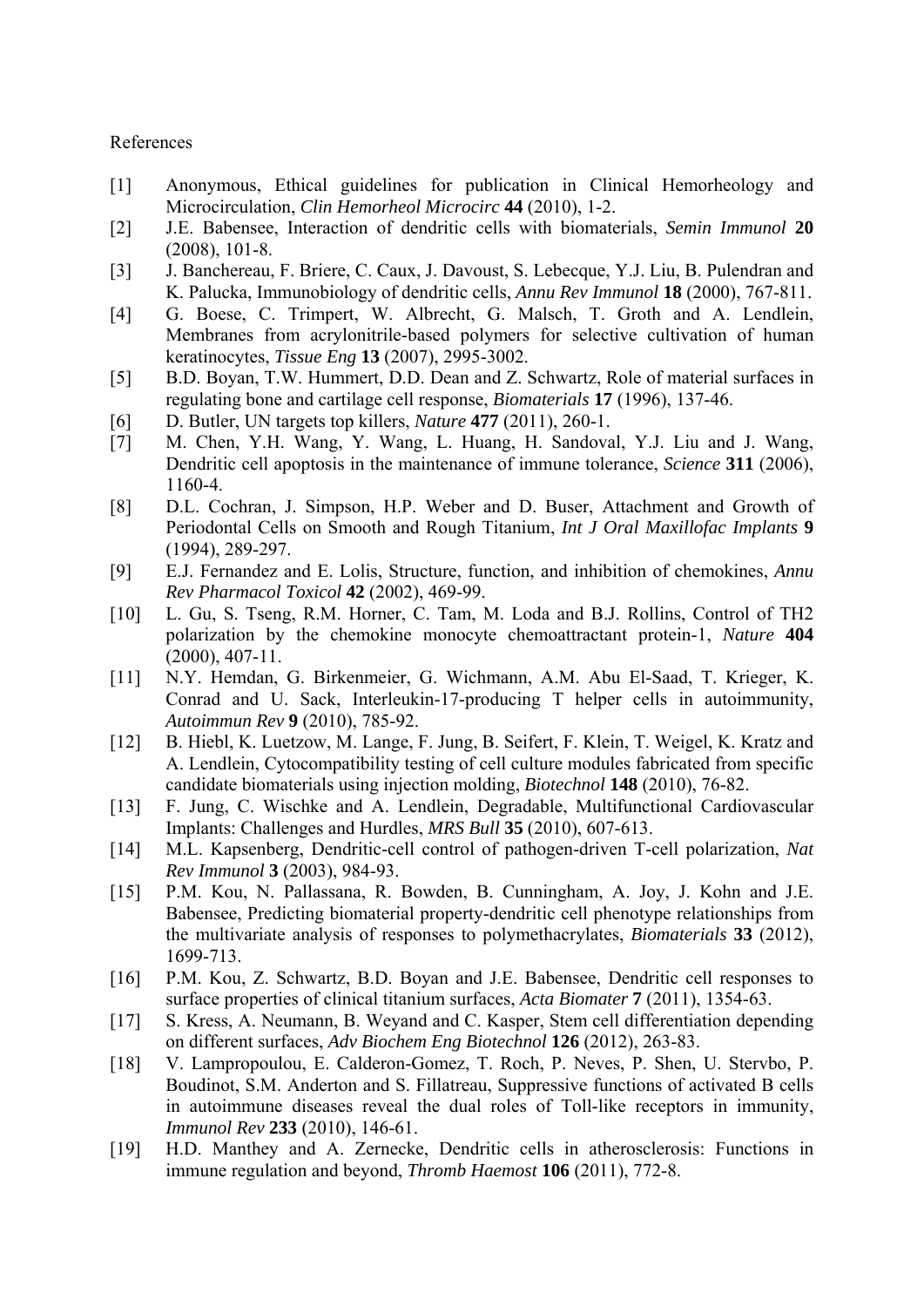#### References

- [1] Anonymous, Ethical guidelines for publication in Clinical Hemorheology and Microcirculation, *Clin Hemorheol Microcirc* **44** (2010), 1-2.
- [2] J.E. Babensee, Interaction of dendritic cells with biomaterials, *Semin Immunol* **20** (2008), 101-8.
- [3] J. Banchereau, F. Briere, C. Caux, J. Davoust, S. Lebecque, Y.J. Liu, B. Pulendran and K. Palucka, Immunobiology of dendritic cells, *Annu Rev Immunol* **18** (2000), 767-811.
- [4] G. Boese, C. Trimpert, W. Albrecht, G. Malsch, T. Groth and A. Lendlein, Membranes from acrylonitrile-based polymers for selective cultivation of human keratinocytes, *Tissue Eng* **13** (2007), 2995-3002.
- [5] B.D. Boyan, T.W. Hummert, D.D. Dean and Z. Schwartz, Role of material surfaces in regulating bone and cartilage cell response, *Biomaterials* **17** (1996), 137-46.
- [6] D. Butler, UN targets top killers, *Nature* **477** (2011), 260-1.
- [7] M. Chen, Y.H. Wang, Y. Wang, L. Huang, H. Sandoval, Y.J. Liu and J. Wang, Dendritic cell apoptosis in the maintenance of immune tolerance, *Science* **311** (2006), 1160-4.
- [8] D.L. Cochran, J. Simpson, H.P. Weber and D. Buser, Attachment and Growth of Periodontal Cells on Smooth and Rough Titanium, *Int J Oral Maxillofac Implants* **9** (1994), 289-297.
- [9] E.J. Fernandez and E. Lolis, Structure, function, and inhibition of chemokines, *Annu Rev Pharmacol Toxicol* **42** (2002), 469-99.
- [10] L. Gu, S. Tseng, R.M. Horner, C. Tam, M. Loda and B.J. Rollins, Control of TH2 polarization by the chemokine monocyte chemoattractant protein-1, *Nature* **404** (2000), 407-11.
- [11] N.Y. Hemdan, G. Birkenmeier, G. Wichmann, A.M. Abu El-Saad, T. Krieger, K. Conrad and U. Sack, Interleukin-17-producing T helper cells in autoimmunity, *Autoimmun Rev* **9** (2010), 785-92.
- [12] B. Hiebl, K. Luetzow, M. Lange, F. Jung, B. Seifert, F. Klein, T. Weigel, K. Kratz and A. Lendlein, Cytocompatibility testing of cell culture modules fabricated from specific candidate biomaterials using injection molding, *Biotechnol* **148** (2010), 76-82.
- [13] F. Jung, C. Wischke and A. Lendlein, Degradable, Multifunctional Cardiovascular Implants: Challenges and Hurdles, *MRS Bull* **35** (2010), 607-613.
- [14] M.L. Kapsenberg, Dendritic-cell control of pathogen-driven T-cell polarization, *Nat Rev Immunol* **3** (2003), 984-93.
- [15] P.M. Kou, N. Pallassana, R. Bowden, B. Cunningham, A. Joy, J. Kohn and J.E. Babensee, Predicting biomaterial property-dendritic cell phenotype relationships from the multivariate analysis of responses to polymethacrylates, *Biomaterials* **33** (2012), 1699-713.
- [16] P.M. Kou, Z. Schwartz, B.D. Boyan and J.E. Babensee, Dendritic cell responses to surface properties of clinical titanium surfaces, *Acta Biomater* **7** (2011), 1354-63.
- [17] S. Kress, A. Neumann, B. Weyand and C. Kasper, Stem cell differentiation depending on different surfaces, *Adv Biochem Eng Biotechnol* **126** (2012), 263-83.
- [18] V. Lampropoulou, E. Calderon-Gomez, T. Roch, P. Neves, P. Shen, U. Stervbo, P. Boudinot, S.M. Anderton and S. Fillatreau, Suppressive functions of activated B cells in autoimmune diseases reveal the dual roles of Toll-like receptors in immunity, *Immunol Rev* **233** (2010), 146-61.
- [19] H.D. Manthey and A. Zernecke, Dendritic cells in atherosclerosis: Functions in immune regulation and beyond, *Thromb Haemost* **106** (2011), 772-8.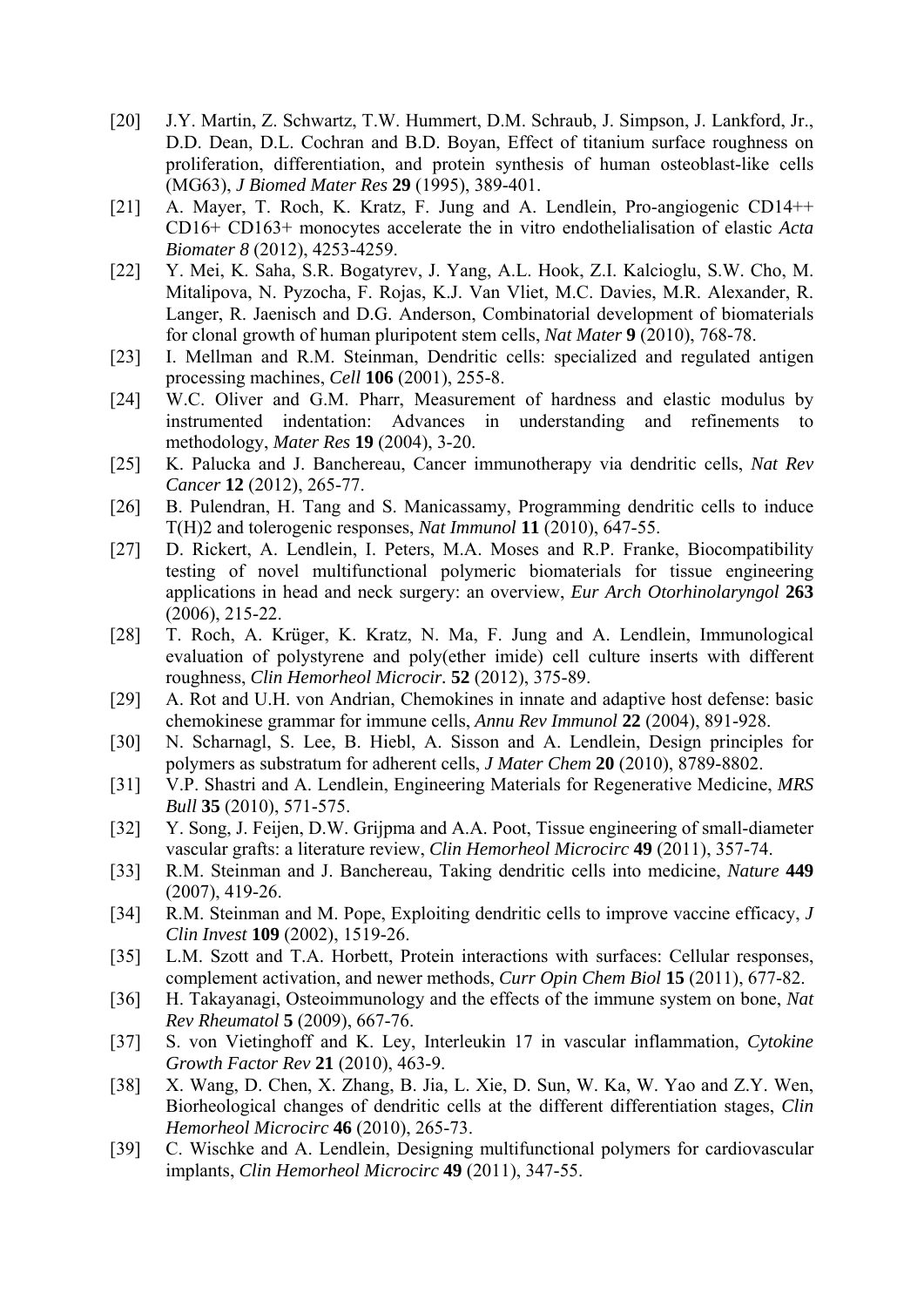- [20] J.Y. Martin, Z. Schwartz, T.W. Hummert, D.M. Schraub, J. Simpson, J. Lankford, Jr., D.D. Dean, D.L. Cochran and B.D. Boyan, Effect of titanium surface roughness on proliferation, differentiation, and protein synthesis of human osteoblast-like cells (MG63), *J Biomed Mater Res* **29** (1995), 389-401.
- [21] A. Mayer, T. Roch, K. Kratz, F. Jung and A. Lendlein, Pro-angiogenic CD14++ CD16+ CD163+ monocytes accelerate the in vitro endothelialisation of elastic *Acta Biomater 8* (2012), 4253-4259.
- [22] Y. Mei, K. Saha, S.R. Bogatyrev, J. Yang, A.L. Hook, Z.I. Kalcioglu, S.W. Cho, M. Mitalipova, N. Pyzocha, F. Rojas, K.J. Van Vliet, M.C. Davies, M.R. Alexander, R. Langer, R. Jaenisch and D.G. Anderson, Combinatorial development of biomaterials for clonal growth of human pluripotent stem cells, *Nat Mater* **9** (2010), 768-78.
- [23] I. Mellman and R.M. Steinman, Dendritic cells: specialized and regulated antigen processing machines, *Cell* **106** (2001), 255-8.
- [24] W.C. Oliver and G.M. Pharr, Measurement of hardness and elastic modulus by instrumented indentation: Advances in understanding and refinements to methodology, *Mater Res* **19** (2004), 3-20.
- [25] K. Palucka and J. Banchereau, Cancer immunotherapy via dendritic cells, *Nat Rev Cancer* **12** (2012), 265-77.
- [26] B. Pulendran, H. Tang and S. Manicassamy, Programming dendritic cells to induce T(H)2 and tolerogenic responses, *Nat Immunol* **11** (2010), 647-55.
- [27] D. Rickert, A. Lendlein, I. Peters, M.A. Moses and R.P. Franke, Biocompatibility testing of novel multifunctional polymeric biomaterials for tissue engineering applications in head and neck surgery: an overview, *Eur Arch Otorhinolaryngol* **263** (2006), 215-22.
- [28] T. Roch, A. Krüger, K. Kratz, N. Ma, F. Jung and A. Lendlein, Immunological evaluation of polystyrene and poly(ether imide) cell culture inserts with different roughness, *Clin Hemorheol Microcir.* **52** (2012), 375-89.
- [29] A. Rot and U.H. von Andrian, Chemokines in innate and adaptive host defense: basic chemokinese grammar for immune cells, *Annu Rev Immunol* **22** (2004), 891-928.
- [30] N. Scharnagl, S. Lee, B. Hiebl, A. Sisson and A. Lendlein, Design principles for polymers as substratum for adherent cells, *J Mater Chem* **20** (2010), 8789-8802.
- [31] V.P. Shastri and A. Lendlein, Engineering Materials for Regenerative Medicine, *MRS Bull* **35** (2010), 571-575.
- [32] Y. Song, J. Feijen, D.W. Grijpma and A.A. Poot, Tissue engineering of small-diameter vascular grafts: a literature review, *Clin Hemorheol Microcirc* **49** (2011), 357-74.
- [33] R.M. Steinman and J. Banchereau, Taking dendritic cells into medicine, *Nature* **449** (2007), 419-26.
- [34] R.M. Steinman and M. Pope, Exploiting dendritic cells to improve vaccine efficacy, *J Clin Invest* **109** (2002), 1519-26.
- [35] L.M. Szott and T.A. Horbett, Protein interactions with surfaces: Cellular responses, complement activation, and newer methods, *Curr Opin Chem Biol* **15** (2011), 677-82.
- [36] H. Takayanagi, Osteoimmunology and the effects of the immune system on bone, *Nat Rev Rheumatol* **5** (2009), 667-76.
- [37] S. von Vietinghoff and K. Ley, Interleukin 17 in vascular inflammation, *Cytokine Growth Factor Rev* **21** (2010), 463-9.
- [38] X. Wang, D. Chen, X. Zhang, B. Jia, L. Xie, D. Sun, W. Ka, W. Yao and Z.Y. Wen, Biorheological changes of dendritic cells at the different differentiation stages, *Clin Hemorheol Microcirc* **46** (2010), 265-73.
- [39] C. Wischke and A. Lendlein, Designing multifunctional polymers for cardiovascular implants, *Clin Hemorheol Microcirc* **49** (2011), 347-55.